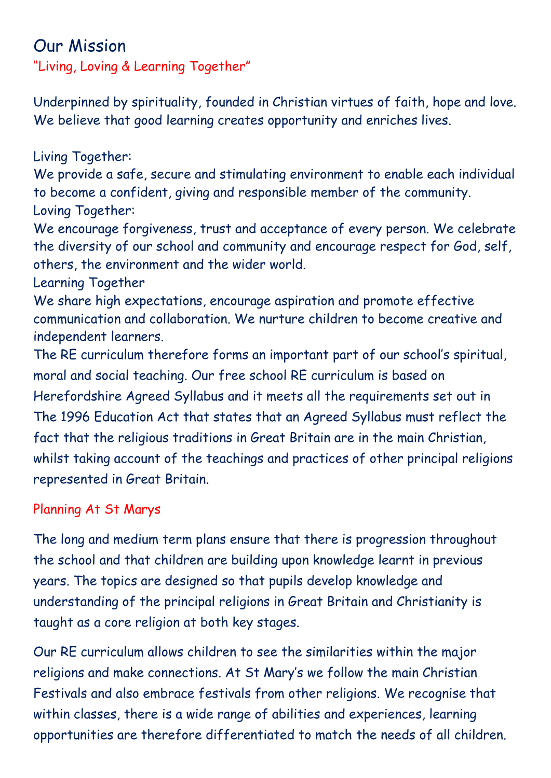## Our Mission

"Living, Loving & Learning Together"

Underpinned by spirituality, founded in Christian virtues of faith, hope and love. We believe that good learning creates opportunity and enriches lives.

Living Together:

We provide a safe, secure and stimulating environment to enable each individual to become a confident, giving and responsible member of the community. Loving Together:

We encourage forgiveness, trust and acceptance of every person. We celebrate the diversity of our school and community and encourage respect for God, self, others, the environment and the wider world.

Learning Together

We share high expectations, encourage aspiration and promote effective communication and collaboration. We nurture children to become creative and independent learners.

The RE curriculum therefore forms an important part of our school's spiritual, moral and social teaching. Our free school RE curriculum is based on Herefordshire Agreed Syllabus and it meets all the requirements set out in The 1996 Education Act that states that an Agreed Syllabus must reflect the fact that the religious traditions in Great Britain are in the main Christian, whilst taking account of the teachings and practices of other principal religions represented in Great Britain.

## Planning At St Marys

The long and medium term plans ensure that there is progression throughout the school and that children are building upon knowledge learnt in previous years. The topics are designed so that pupils develop knowledge and understanding of the principal religions in Great Britain and Christianity is taught as a core religion at both key stages.

Our RE curriculum allows children to see the similarities within the major religions and make connections. At St Mary's we follow the main Christian Festivals and also embrace festivals from other religions. We recognise that within classes, there is a wide range of abilities and experiences, learning opportunities are therefore differentiated to match the needs of all children.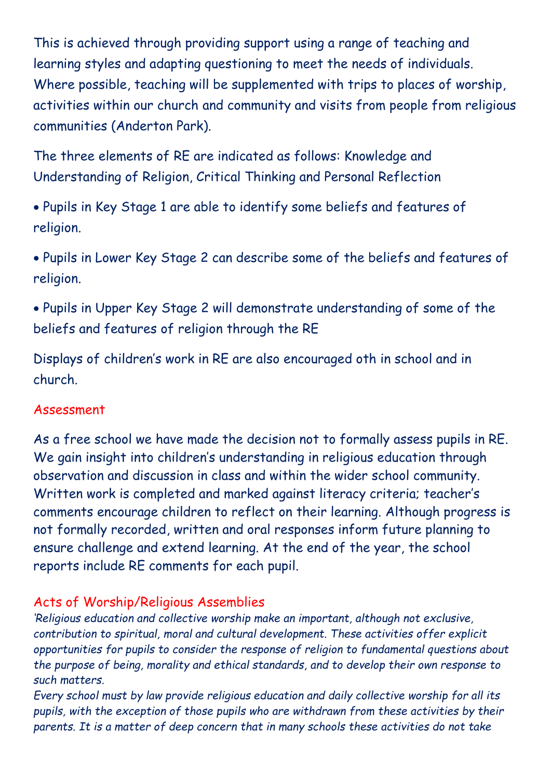This is achieved through providing support using a range of teaching and learning styles and adapting questioning to meet the needs of individuals. Where possible, teaching will be supplemented with trips to places of worship, activities within our church and community and visits from people from religious communities (Anderton Park).

The three elements of RE are indicated as follows: Knowledge and Understanding of Religion, Critical Thinking and Personal Reflection

• Pupils in Key Stage 1 are able to identify some beliefs and features of religion.

• Pupils in Lower Key Stage 2 can describe some of the beliefs and features of religion.

• Pupils in Upper Key Stage 2 will demonstrate understanding of some of the beliefs and features of religion through the RE

Displays of children's work in RE are also encouraged oth in school and in church.

## Assessment

As a free school we have made the decision not to formally assess pupils in RE. We gain insight into children's understanding in religious education through observation and discussion in class and within the wider school community. Written work is completed and marked against literacy criteria; teacher's comments encourage children to reflect on their learning. Although progress is not formally recorded, written and oral responses inform future planning to ensure challenge and extend learning. At the end of the year, the school reports include RE comments for each pupil.

## Acts of Worship/Religious Assemblies

*'Religious education and collective worship make an important, although not exclusive, contribution to spiritual, moral and cultural development. These activities offer explicit opportunities for pupils to consider the response of religion to fundamental questions about the purpose of being, morality and ethical standards, and to develop their own response to such matters.* 

*Every school must by law provide religious education and daily collective worship for all its pupils, with the exception of those pupils who are withdrawn from these activities by their parents. It is a matter of deep concern that in many schools these activities do not take*